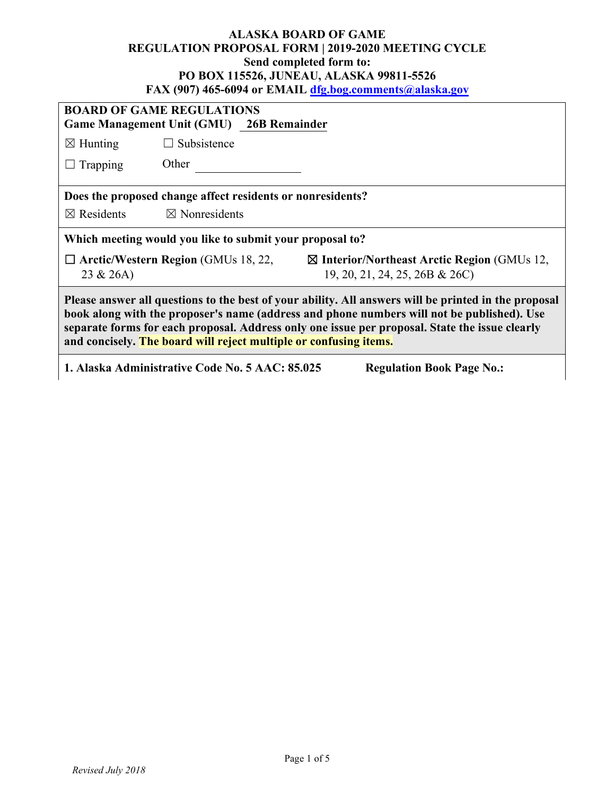#### **ALASKA BOARD OF GAME REGULATION PROPOSAL FORM | 2019-2020 MEETING CYCLE Send completed form to: PO BOX 115526, JUNEAU, ALASKA 99811-5526 FAX (907) 465-6094 or EMAIL [dfg.bog.comments@alaska.gov](mailto:dfg.bog.comments@alaska.gov)**

| <b>BOARD OF GAME REGULATIONS</b><br>Game Management Unit (GMU) 26B Remainder                                                                                                                                                                                                                                                                                              |                                            |                                                                                         |  |  |
|---------------------------------------------------------------------------------------------------------------------------------------------------------------------------------------------------------------------------------------------------------------------------------------------------------------------------------------------------------------------------|--------------------------------------------|-----------------------------------------------------------------------------------------|--|--|
| $\boxtimes$ Hunting                                                                                                                                                                                                                                                                                                                                                       | $\Box$ Subsistence                         |                                                                                         |  |  |
| Trapping                                                                                                                                                                                                                                                                                                                                                                  | Other                                      |                                                                                         |  |  |
| Does the proposed change affect residents or nonresidents?                                                                                                                                                                                                                                                                                                                |                                            |                                                                                         |  |  |
| $\boxtimes$ Residents                                                                                                                                                                                                                                                                                                                                                     | $\boxtimes$ Nonresidents                   |                                                                                         |  |  |
| Which meeting would you like to submit your proposal to?                                                                                                                                                                                                                                                                                                                  |                                            |                                                                                         |  |  |
| 23 & 26A)                                                                                                                                                                                                                                                                                                                                                                 | $\Box$ Arctic/Western Region (GMUs 18, 22, | $\boxtimes$ Interior/Northeast Arctic Region (GMUs 12,<br>19, 20, 21, 24, 25, 26B & 26C |  |  |
| Please answer all questions to the best of your ability. All answers will be printed in the proposal<br>book along with the proposer's name (address and phone numbers will not be published). Use<br>separate forms for each proposal. Address only one issue per proposal. State the issue clearly<br>and concisely. The board will reject multiple or confusing items. |                                            |                                                                                         |  |  |
| 1. Alaska Administrative Code No. 5 AAC: 85.025<br><b>Regulation Book Page No.:</b>                                                                                                                                                                                                                                                                                       |                                            |                                                                                         |  |  |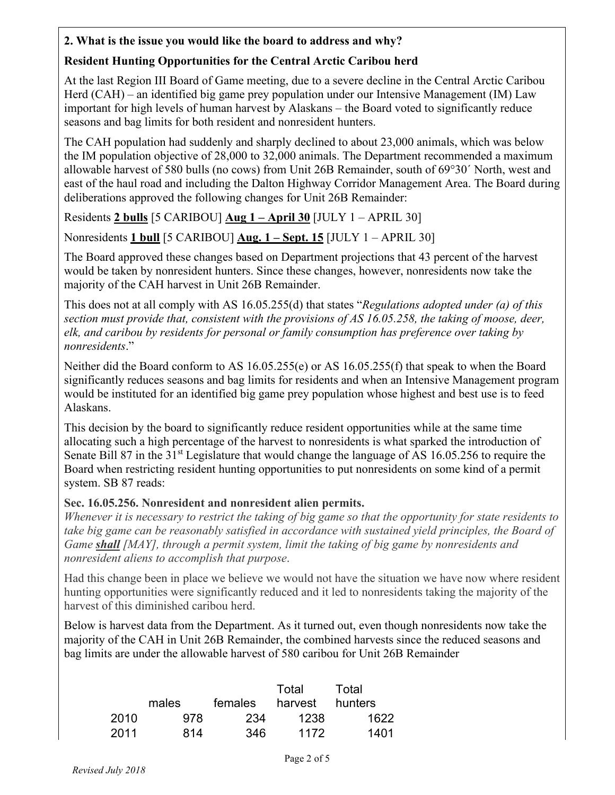## **2. What is the issue you would like the board to address and why?**

# **Resident Hunting Opportunities for the Central Arctic Caribou herd**

At the last Region III Board of Game meeting, due to a severe decline in the Central Arctic Caribou Herd (CAH) – an identified big game prey population under our Intensive Management (IM) Law important for high levels of human harvest by Alaskans – the Board voted to significantly reduce seasons and bag limits for both resident and nonresident hunters.

The CAH population had suddenly and sharply declined to about 23,000 animals, which was below the IM population objective of 28,000 to 32,000 animals. The Department recommended a maximum allowable harvest of 580 bulls (no cows) from Unit 26B Remainder, south of 69°30´ North, west and east of the haul road and including the Dalton Highway Corridor Management Area. The Board during deliberations approved the following changes for Unit 26B Remainder:

Residents **2 bulls** [5 CARIBOU] **Aug 1 – April 30** [JULY 1 – APRIL 30]

Nonresidents **1 bull** [5 CARIBOU] **Aug. 1 – Sept. 15** [JULY 1 – APRIL 30]

The Board approved these changes based on Department projections that 43 percent of the harvest would be taken by nonresident hunters. Since these changes, however, nonresidents now take the majority of the CAH harvest in Unit 26B Remainder.

This does not at all comply with AS 16.05.255(d) that states "*Regulations adopted under (a) of this section must provide that, consistent with the provisions of AS 16.05.258, the taking of moose, deer, elk, and caribou by residents for personal or family consumption has preference over taking by nonresidents*."

Neither did the Board conform to AS 16.05.255(e) or AS 16.05.255(f) that speak to when the Board significantly reduces seasons and bag limits for residents and when an Intensive Management program would be instituted for an identified big game prey population whose highest and best use is to feed Alaskans.

This decision by the board to significantly reduce resident opportunities while at the same time allocating such a high percentage of the harvest to nonresidents is what sparked the introduction of Senate Bill 87 in the 31<sup>st</sup> Legislature that would change the language of AS 16.05.256 to require the Board when restricting resident hunting opportunities to put nonresidents on some kind of a permit system. SB 87 reads:

# **Sec. 16.05.256. Nonresident and nonresident alien permits.**

*Whenever it is necessary to restrict the taking of big game so that the opportunity for state residents to take big game can be reasonably satisfied in accordance with sustained yield principles, the Board of Game shall [MAY], through a permit system, limit the taking of big game by nonresidents and nonresident aliens to accomplish that purpose*.

Had this change been in place we believe we would not have the situation we have now where resident hunting opportunities were significantly reduced and it led to nonresidents taking the majority of the harvest of this diminished caribou herd.

Below is harvest data from the Department. As it turned out, even though nonresidents now take the majority of the CAH in Unit 26B Remainder, the combined harvests since the reduced seasons and bag limits are under the allowable harvest of 580 caribou for Unit 26B Remainder

|      | males | females | Total<br>harvest | Total<br>hunters |
|------|-------|---------|------------------|------------------|
| 2010 | 978   | 234     | 1238             | 1622             |
| 2011 | 814   | 346     | 1172             | 1401             |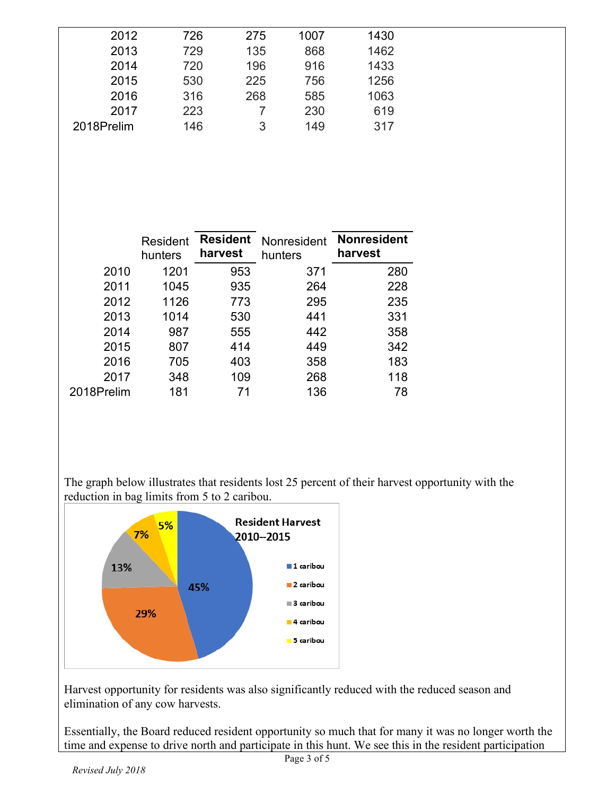| 2012<br>726<br>1430<br>275<br>1007<br>1462<br>135<br>2013<br>729<br>868<br>196<br>916<br>1433<br>2014<br>720<br>225<br>1256<br>756<br>2015<br>530<br>268<br>316<br>585<br>1063<br>2016<br>619<br>230<br>223<br>2017<br>146<br>149<br>317<br>2018Prelim<br>3 |  |  |  |
|-------------------------------------------------------------------------------------------------------------------------------------------------------------------------------------------------------------------------------------------------------------|--|--|--|
|                                                                                                                                                                                                                                                             |  |  |  |
|                                                                                                                                                                                                                                                             |  |  |  |
|                                                                                                                                                                                                                                                             |  |  |  |
|                                                                                                                                                                                                                                                             |  |  |  |
|                                                                                                                                                                                                                                                             |  |  |  |
|                                                                                                                                                                                                                                                             |  |  |  |
|                                                                                                                                                                                                                                                             |  |  |  |

|            | Resident<br>hunters | <b>Resident</b><br>harvest | Nonresident<br>hunters | <b>Nonresident</b><br>harvest |
|------------|---------------------|----------------------------|------------------------|-------------------------------|
| 2010       | 1201                | 953                        | 371                    | 280                           |
| 2011       | 1045                | 935                        | 264                    | 228                           |
| 2012       | 1126                | 773                        | 295                    | 235                           |
| 2013       | 1014                | 530                        | 441                    | 331                           |
| 2014       | 987                 | 555                        | 442                    | 358                           |
| 2015       | 807                 | 414                        | 449                    | 342                           |
| 2016       | 705                 | 403                        | 358                    | 183                           |
| 2017       | 348                 | 109                        | 268                    | 118                           |
| 2018Prelim | 181                 | 71                         | 136                    | 78                            |

The graph below illustrates that residents lost 25 percent of their harvest opportunity with the reduction in bag limits from 5 to 2 caribou.



Harvest opportunity for residents was also significantly reduced with the reduced season and elimination of any cow harvests.

Essentially, the Board reduced resident opportunity so much that for many it was no longer worth the time and expense to drive north and participate in this hunt. We see this in the resident participation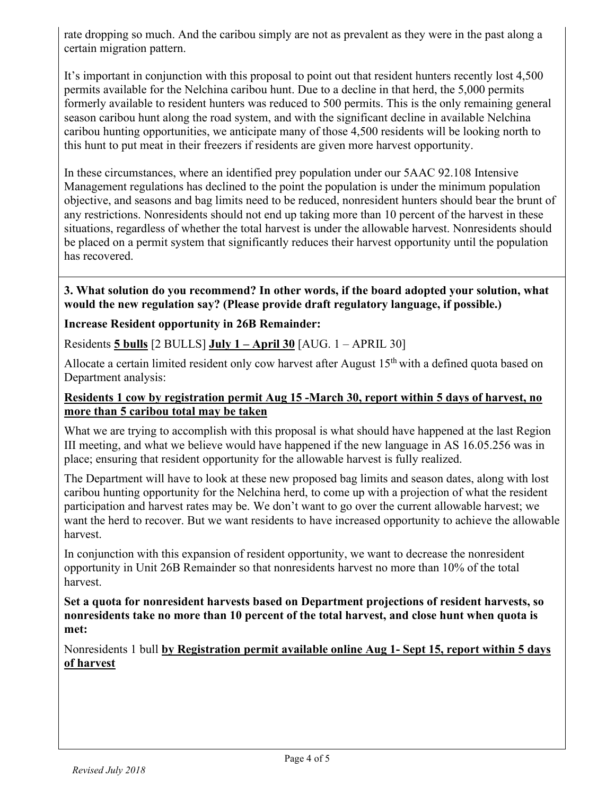rate dropping so much. And the caribou simply are not as prevalent as they were in the past along a certain migration pattern.

It's important in conjunction with this proposal to point out that resident hunters recently lost 4,500 permits available for the Nelchina caribou hunt. Due to a decline in that herd, the 5,000 permits formerly available to resident hunters was reduced to 500 permits. This is the only remaining general season caribou hunt along the road system, and with the significant decline in available Nelchina caribou hunting opportunities, we anticipate many of those 4,500 residents will be looking north to this hunt to put meat in their freezers if residents are given more harvest opportunity.

In these circumstances, where an identified prey population under our 5AAC 92.108 Intensive Management regulations has declined to the point the population is under the minimum population objective, and seasons and bag limits need to be reduced, nonresident hunters should bear the brunt of any restrictions. Nonresidents should not end up taking more than 10 percent of the harvest in these situations, regardless of whether the total harvest is under the allowable harvest. Nonresidents should be placed on a permit system that significantly reduces their harvest opportunity until the population has recovered.

#### **3. What solution do you recommend? In other words, if the board adopted your solution, what would the new regulation say? (Please provide draft regulatory language, if possible.)**

### **Increase Resident opportunity in 26B Remainder:**

Residents **5 bulls** [2 BULLS] **July 1 – April 30** [AUG. 1 – APRIL 30]

Allocate a certain limited resident only cow harvest after August  $15<sup>th</sup>$  with a defined quota based on Department analysis:

### **Residents 1 cow by registration permit Aug 15 -March 30, report within 5 days of harvest, no more than 5 caribou total may be taken**

What we are trying to accomplish with this proposal is what should have happened at the last Region III meeting, and what we believe would have happened if the new language in AS 16.05.256 was in place; ensuring that resident opportunity for the allowable harvest is fully realized.

The Department will have to look at these new proposed bag limits and season dates, along with lost caribou hunting opportunity for the Nelchina herd, to come up with a projection of what the resident participation and harvest rates may be. We don't want to go over the current allowable harvest; we want the herd to recover. But we want residents to have increased opportunity to achieve the allowable harvest.

In conjunction with this expansion of resident opportunity, we want to decrease the nonresident opportunity in Unit 26B Remainder so that nonresidents harvest no more than 10% of the total harvest.

**Set a quota for nonresident harvests based on Department projections of resident harvests, so nonresidents take no more than 10 percent of the total harvest, and close hunt when quota is met:** 

Nonresidents 1 bull **by Registration permit available online Aug 1- Sept 15, report within 5 days of harvest**